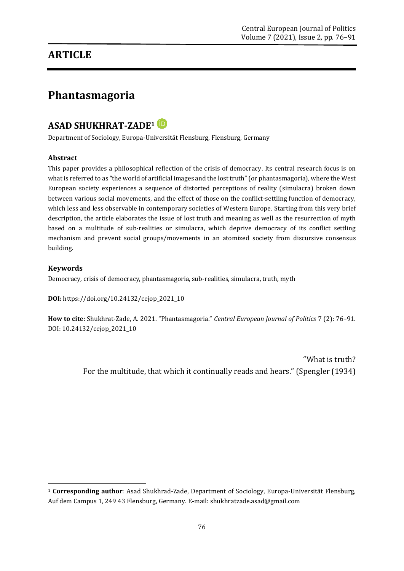## **ARTICLE**

# **Phantasmagoria**

### **ASAD SHUKHRAT-ZADE<sup>1</sup>**

Department of Sociology, Europa-Universität Flensburg, Flensburg, Germany

#### **Abstract**

This paper provides a philosophical reflection of the crisis of democracy. Its central research focus is on what is referred to as "the world of artificial images and the lost truth" (or phantasmagoria), where the West European society experiences a sequence of distorted perceptions of reality (simulacra) broken down between various social movements, and the effect of those on the conflict-settling function of democracy, which less and less observable in contemporary societies of Western Europe. Starting from this very brief description, the article elaborates the issue of lost truth and meaning as well as the resurrection of myth based on a multitude of sub-realities or simulacra, which deprive democracy of its conflict settling mechanism and prevent social groups/movements in an atomized society from discursive consensus building.

#### **Keywords**

1

Democracy, crisis of democracy, phantasmagoria, sub-realities, simulacra, truth, myth

**DOI:** [https://doi.org/10.24132/c](https://doi.org/10.24132/?fbclid=IwAR3FkqEiC5TEXLTbL5NNy6GcEElvMDqetW3csS9Beo10se4egOWiQ6llCvs)ejop\_2021\_10

**How to cite:** Shukhrat-Zade, A. 2021. "Phantasmagoria." *Central European Journal of Politics* 7 (2): 76–91. DOI: 10.24132/cejop\_2021\_10

> "What is truth? For the multitude, that which it continually reads and hears." (Spengler (1934)

<sup>1</sup> **Corresponding author**: Asad Shukhrad-Zade, Department of Sociology, Europa-Universität Flensburg, Auf dem Campus 1, 249 43 Flensburg, Germany. E-mail: shukhratzade.asad@gmail.com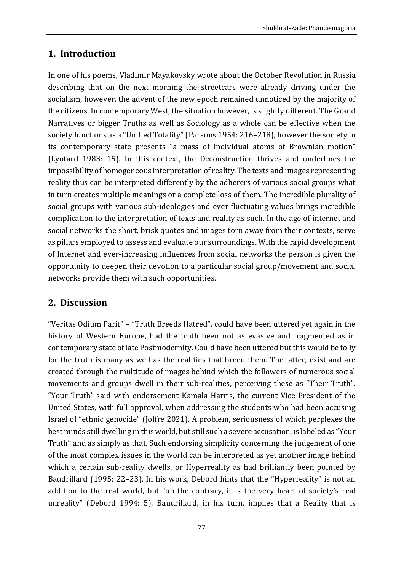### **1. Introduction**

In one of his poems, Vladimir Mayakovsky wrote about the October Revolution in Russia describing that on the next morning the streetcars were already driving under the socialism, however, the advent of the new epoch remained unnoticed by the majority of the citizens. In contemporary West, the situation however, is slightly different. The Grand Narratives or bigger Truths as well as Sociology as a whole can be effective when the society functions as a "Unified Totality" (Parsons 1954: 216–218), however the society in its contemporary state presents "a mass of individual atoms of Brownian motion" (Lyotard 1983: 15). In this context, the Deconstruction thrives and underlines the impossibility of homogeneous interpretation of reality. The texts and images representing reality thus can be interpreted differently by the adherers of various social groups what in turn creates multiple meanings or a complete loss of them. The incredible plurality of social groups with various sub-ideologies and ever fluctuating values brings incredible complication to the interpretation of texts and reality as such. In the age of internet and social networks the short, brisk quotes and images torn away from their contexts, serve as pillars employed to assess and evaluate our surroundings. With the rapid development of Internet and ever-increasing influences from social networks the person is given the opportunity to deepen their devotion to a particular social group/movement and social networks provide them with such opportunities.

### **2. Discussion**

"Veritas Odium Parit" – "Truth Breeds Hatred", could have been uttered yet again in the history of Western Europe, had the truth been not as evasive and fragmented as in contemporary state of late Postmodernity. Could have been uttered but this would be folly for the truth is many as well as the realities that breed them. The latter, exist and are created through the multitude of images behind which the followers of numerous social movements and groups dwell in their sub-realities, perceiving these as "Their Truth". "Your Truth" said with endorsement Kamala Harris, the current Vice President of the United States, with full approval, when addressing the students who had been accusing Israel of "ethnic genocide" (Joffre 2021). A problem, seriousness of which perplexes the best minds still dwelling in this world, but still such a severe accusation, is labeled as "Your Truth" and as simply as that. Such endorsing simplicity concerning the judgement of one of the most complex issues in the world can be interpreted as yet another image behind which a certain sub-reality dwells, or Hyperreality as had brilliantly been pointed by Baudrillard (1995: 22–23). In his work, Debord hints that the "Hyperreality" is not an addition to the real world, but "on the contrary, it is the very heart of society's real unreality" (Debord 1994: 5). Baudrillard, in his turn, implies that a Reality that is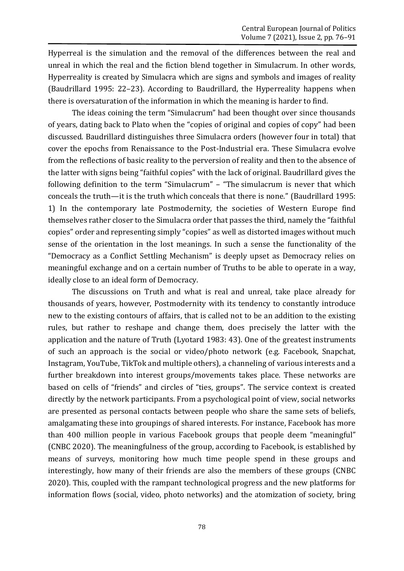Hyperreal is the simulation and the removal of the differences between the real and unreal in which the real and the fiction blend together in Simulacrum. In other words, Hyperreality is created by Simulacra which are signs and symbols and images of reality (Baudrillard 1995: 22–23). According to Baudrillard, the Hyperreality happens when there is oversaturation of the information in which the meaning is harder to find.

The ideas coining the term "Simulacrum" had been thought over since thousands of years, dating back to Plato when the "copies of original and copies of copy" had been discussed. Baudrillard distinguishes three Simulacra orders (however four in total) that cover the epochs from Renaissance to the Post-Industrial era. These Simulacra evolve from the reflections of basic reality to the perversion of reality and then to the absence of the latter with signs being "faithful copies" with the lack of original. Baudrillard gives the following definition to the term "Simulacrum" – "The simulacrum is never that which conceals the truth—it is the truth which conceals that there is none." (Baudrillard 1995: 1) In the contemporary late Postmodernity, the societies of Western Europe find themselves rather closer to the Simulacra order that passes the third, namely the "faithful copies" order and representing simply "copies" as well as distorted images without much sense of the orientation in the lost meanings. In such a sense the functionality of the "Democracy as a Conflict Settling Mechanism" is deeply upset as Democracy relies on meaningful exchange and on a certain number of Truths to be able to operate in a way, ideally close to an ideal form of Democracy.

The discussions on Truth and what is real and unreal, take place already for thousands of years, however, Postmodernity with its tendency to constantly introduce new to the existing contours of affairs, that is called not to be an addition to the existing rules, but rather to reshape and change them, does precisely the latter with the application and the nature of Truth (Lyotard 1983: 43). One of the greatest instruments of such an approach is the social or video/photo network (e.g. Facebook, Snapchat, Instagram, YouTube, TikTok and multiple others), a channeling of various interests and a further breakdown into interest groups/movements takes place. These networks are based on cells of "friends" and circles of "ties, groups". The service context is created directly by the network participants. From a psychological point of view, social networks are presented as personal contacts between people who share the same sets of beliefs, amalgamating these into groupings of shared interests. For instance, Facebook has more than 400 million people in various Facebook groups that people deem "meaningful" (CNBC 2020). The meaningfulness of the group, according to Facebook, is established by means of surveys, monitoring how much time people spend in these groups and interestingly, how many of their friends are also the members of these groups (CNBC 2020). This, coupled with the rampant technological progress and the new platforms for information flows (social, video, photo networks) and the atomization of society, bring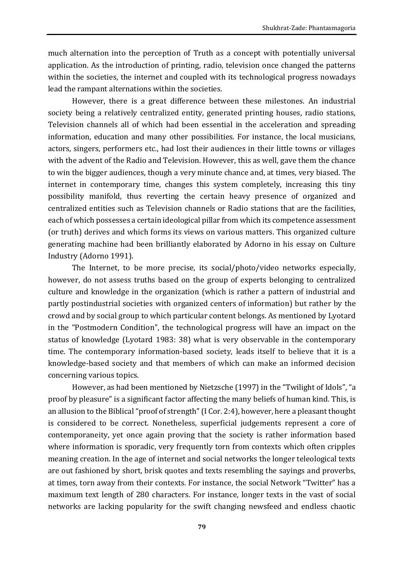much alternation into the perception of Truth as a concept with potentially universal application. As the introduction of printing, radio, television once changed the patterns within the societies, the internet and coupled with its technological progress nowadays lead the rampant alternations within the societies.

However, there is a great difference between these milestones. An industrial society being a relatively centralized entity, generated printing houses, radio stations, Television channels all of which had been essential in the acceleration and spreading information, education and many other possibilities. For instance, the local musicians, actors, singers, performers etc., had lost their audiences in their little towns or villages with the advent of the Radio and Television. However, this as well, gave them the chance to win the bigger audiences, though a very minute chance and, at times, very biased. The internet in contemporary time, changes this system completely, increasing this tiny possibility manifold, thus reverting the certain heavy presence of organized and centralized entities such as Television channels or Radio stations that are the facilities, each of which possesses a certain ideological pillar from which its competence assessment (or truth) derives and which forms its views on various matters. This organized culture generating machine had been brilliantly elaborated by Adorno in his essay on Culture Industry (Adorno 1991).

The Internet, to be more precise, its social/photo/video networks especially, however, do not assess truths based on the group of experts belonging to centralized culture and knowledge in the organization (which is rather a pattern of industrial and partly postindustrial societies with organized centers of information) but rather by the crowd and by social group to which particular content belongs. As mentioned by Lyotard in the "Postmodern Condition", the technological progress will have an impact on the status of knowledge (Lyotard 1983: 38) what is very observable in the contemporary time. The contemporary information-based society, leads itself to believe that it is a knowledge-based society and that members of which can make an informed decision concerning various topics.

However, as had been mentioned by Nietzsche (1997) in the "Twilight of Idols", "a proof by pleasure" is a significant factor affecting the many beliefs of human kind. This, is an allusion to the Biblical "proof of strength" (I Cor. 2:4), however, here a pleasant thought is considered to be correct. Nonetheless, superficial judgements represent a core of contemporaneity, yet once again proving that the society is rather information based where information is sporadic, very frequently torn from contexts which often cripples meaning creation. In the age of internet and social networks the longer teleological texts are out fashioned by short, brisk quotes and texts resembling the sayings and proverbs, at times, torn away from their contexts. For instance, the social Network "Twitter" has a maximum text length of 280 characters. For instance, longer texts in the vast of social networks are lacking popularity for the swift changing newsfeed and endless chaotic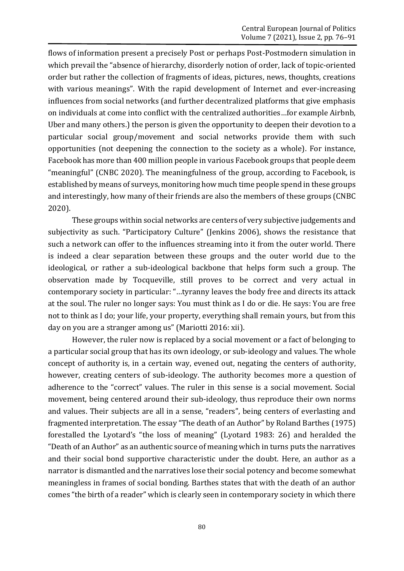flows of information present a precisely Post or perhaps Post-Postmodern simulation in which prevail the "absence of hierarchy, disorderly notion of order, lack of topic-oriented order but rather the collection of fragments of ideas, pictures, news, thoughts, creations with various meanings". With the rapid development of Internet and ever-increasing influences from social networks (and further decentralized platforms that give emphasis on individuals at come into conflict with the centralized authorities…for example Airbnb, Uber and many others.) the person is given the opportunity to deepen their devotion to a particular social group/movement and social networks provide them with such opportunities (not deepening the connection to the society as a whole). For instance, Facebook has more than 400 million people in various Facebook groups that people deem "meaningful" (CNBC 2020). The meaningfulness of the group, according to Facebook, is established by means of surveys, monitoring how much time people spend in these groups and interestingly, how many of their friends are also the members of these groups (CNBC 2020).

These groups within social networks are centers of very subjective judgements and subjectivity as such. "Participatory Culture" (Jenkins 2006), shows the resistance that such a network can offer to the influences streaming into it from the outer world. There is indeed a clear separation between these groups and the outer world due to the ideological, or rather a sub-ideological backbone that helps form such a group. The observation made by Tocqueville, still proves to be correct and very actual in contemporary society in particular: "…tyranny leaves the body free and directs its attack at the soul. The ruler no longer says: You must think as I do or die. He says: You are free not to think as I do; your life, your property, everything shall remain yours, but from this day on you are a stranger among us" (Mariotti 2016: xii).

However, the ruler now is replaced by a social movement or a fact of belonging to a particular social group that has its own ideology, or sub-ideology and values. The whole concept of authority is, in a certain way, evened out, negating the centers of authority, however, creating centers of sub-ideology. The authority becomes more a question of adherence to the "correct" values. The ruler in this sense is a social movement. Social movement, being centered around their sub-ideology, thus reproduce their own norms and values. Their subjects are all in a sense, "readers", being centers of everlasting and fragmented interpretation. The essay "The death of an Author" by Roland Barthes (1975) forestalled the Lyotard's "the loss of meaning" (Lyotard 1983: 26) and heralded the "Death of an Author" as an authentic source of meaning which in turns puts the narratives and their social bond supportive characteristic under the doubt. Here, an author as a narrator is dismantled and the narratives lose their social potency and become somewhat meaningless in frames of social bonding. Barthes states that with the death of an author comes "the birth of a reader" which is clearly seen in contemporary society in which there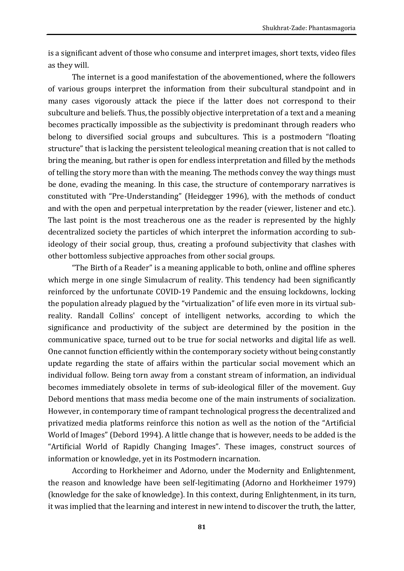is a significant advent of those who consume and interpret images, short texts, video files as they will.

The internet is a good manifestation of the abovementioned, where the followers of various groups interpret the information from their subcultural standpoint and in many cases vigorously attack the piece if the latter does not correspond to their subculture and beliefs. Thus, the possibly objective interpretation of a text and a meaning becomes practically impossible as the subjectivity is predominant through readers who belong to diversified social groups and subcultures. This is a postmodern "floating structure" that is lacking the persistent teleological meaning creation that is not called to bring the meaning, but rather is open for endless interpretation and filled by the methods of telling the story more than with the meaning. The methods convey the way things must be done, evading the meaning. In this case, the structure of contemporary narratives is constituted with "Pre-Understanding" (Heidegger 1996), with the methods of conduct and with the open and perpetual interpretation by the reader (viewer, listener and etc.). The last point is the most treacherous one as the reader is represented by the highly decentralized society the particles of which interpret the information according to subideology of their social group, thus, creating a profound subjectivity that clashes with other bottomless subjective approaches from other social groups.

"The Birth of a Reader" is a meaning applicable to both, online and offline spheres which merge in one single Simulacrum of reality. This tendency had been significantly reinforced by the unfortunate COVID-19 Pandemic and the ensuing lockdowns, locking the population already plagued by the "virtualization" of life even more in its virtual subreality. Randall Collins' concept of intelligent networks, according to which the significance and productivity of the subject are determined by the position in the communicative space, turned out to be true for social networks and digital life as well. One cannot function efficiently within the contemporary society without being constantly update regarding the state of affairs within the particular social movement which an individual follow. Being torn away from a constant stream of information, an individual becomes immediately obsolete in terms of sub-ideological filler of the movement. Guy Debord mentions that mass media become one of the main instruments of socialization. However, in contemporary time of rampant technological progress the decentralized and privatized media platforms reinforce this notion as well as the notion of the "Artificial World of Images" (Debord 1994). A little change that is however, needs to be added is the "Artificial World of Rapidly Changing Images". These images, construct sources of information or knowledge, yet in its Postmodern incarnation.

According to Horkheimer and Adorno, under the Modernity and Enlightenment, the reason and knowledge have been self-legitimating (Adorno and Horkheimer 1979) (knowledge for the sake of knowledge). In this context, during Enlightenment, in its turn, it was implied that the learning and interest in new intend to discover the truth, the latter,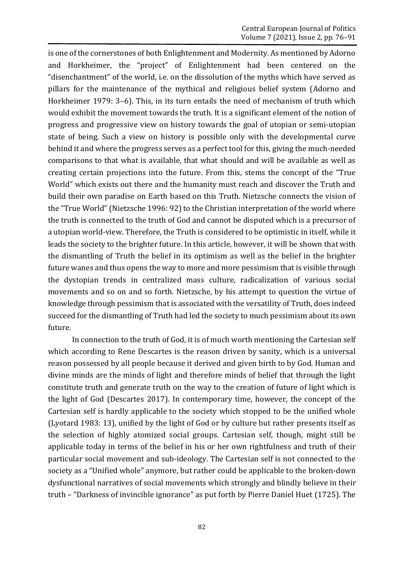is one of the cornerstones of both Enlightenment and Modernity. As mentioned by Adorno and Horkheimer, the "project" of Enlightenment had been centered on the "disenchantment" of the world, i.e. on the dissolution of the myths which have served as pillars for the maintenance of the mythical and religious belief system (Adorno and Horkheimer 1979: 3–6). This, in its turn entails the need of mechanism of truth which would exhibit the movement towards the truth. It is a significant element of the notion of progress and progressive view on history towards the goal of utopian or semi-utopian state of being. Such a view on history is possible only with the developmental curve behind it and where the progress serves as a perfect tool for this, giving the much-needed comparisons to that what is available, that what should and will be available as well as creating certain projections into the future. From this, stems the concept of the "True World" which exists out there and the humanity must reach and discover the Truth and build their own paradise on Earth based on this Truth. Nietzsche connects the vision of the "True World" (Nietzsche 1996: 92) to the Christian interpretation of the world where the truth is connected to the truth of God and cannot be disputed which is a precursor of a utopian world-view. Therefore, the Truth is considered to be optimistic in itself, while it leads the society to the brighter future. In this article, however, it will be shown that with the dismantling of Truth the belief in its optimism as well as the belief in the brighter future wanes and thus opens the way to more and more pessimism that is visible through the dystopian trends in centralized mass culture, radicalization of various social movements and so on and so forth. Nietzsche, by his attempt to question the virtue of knowledge through pessimism that is associated with the versatility of Truth, does indeed succeed for the dismantling of Truth had led the society to much pessimism about its own future.

In connection to the truth of God, it is of much worth mentioning the Cartesian self which according to Rene Descartes is the reason driven by sanity, which is a universal reason possessed by all people because it derived and given birth to by God. Human and divine minds are the minds of light and therefore minds of belief that through the light constitute truth and generate truth on the way to the creation of future of light which is the light of God (Descartes 2017). In contemporary time, however, the concept of the Cartesian self is hardly applicable to the society which stopped to be the unified whole (Lyotard 1983: 13), unified by the light of God or by culture but rather presents itself as the selection of highly atomized social groups. Cartesian self, though, might still be applicable today in terms of the belief in his or her own rightfulness and truth of their particular social movement and sub-ideology. The Cartesian self is not connected to the society as a "Unified whole" anymore, but rather could be applicable to the broken-down dysfunctional narratives of social movements which strongly and blindly believe in their truth – "Darkness of invincible ignorance" as put forth by Pierre Daniel Huet (1725). The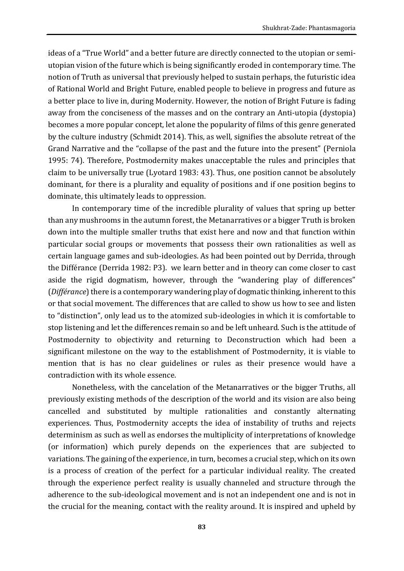ideas of a "True World" and a better future are directly connected to the utopian or semiutopian vision of the future which is being significantly eroded in contemporary time. The notion of Truth as universal that previously helped to sustain perhaps, the futuristic idea of Rational World and Bright Future, enabled people to believe in progress and future as a better place to live in, during Modernity. However, the notion of Bright Future is fading away from the conciseness of the masses and on the contrary an Anti-utopia (dystopia) becomes a more popular concept, let alone the popularity of films of this genre generated by the culture industry (Schmidt 2014). This, as well, signifies the absolute retreat of the Grand Narrative and the "collapse of the past and the future into the present" (Perniola 1995: 74). Therefore, Postmodernity makes unacceptable the rules and principles that claim to be universally true (Lyotard 1983: 43). Thus, one position cannot be absolutely dominant, for there is a plurality and equality of positions and if one position begins to dominate, this ultimately leads to oppression.

In contemporary time of the incredible plurality of values that spring up better than any mushrooms in the autumn forest, the Metanarratives or a bigger Truth is broken down into the multiple smaller truths that exist here and now and that function within particular social groups or movements that possess their own rationalities as well as certain language games and sub-ideologies. As had been pointed out by Derrida, through the Différance (Derrida 1982: P3). we learn better and in theory can come closer to cast aside the rigid dogmatism, however, through the "wandering play of differences" (*Différance*) there is a contemporary wandering play of dogmatic thinking, inherent to this or that social movement. The differences that are called to show us how to see and listen to "distinction", only lead us to the atomized sub-ideologies in which it is comfortable to stop listening and let the differences remain so and be left unheard. Such is the attitude of Postmodernity to objectivity and returning to Deconstruction which had been a significant milestone on the way to the establishment of Postmodernity, it is viable to mention that is has no clear guidelines or rules as their presence would have a contradiction with its whole essence.

Nonetheless, with the cancelation of the Metanarratives or the bigger Truths, all previously existing methods of the description of the world and its vision are also being cancelled and substituted by multiple rationalities and constantly alternating experiences. Thus, Postmodernity accepts the idea of instability of truths and rejects determinism as such as well as endorses the multiplicity of interpretations of knowledge (or information) which purely depends on the experiences that are subjected to variations. The gaining of the experience, in turn, becomes a crucial step, which on its own is a process of creation of the perfect for a particular individual reality. The created through the experience perfect reality is usually channeled and structure through the adherence to the sub-ideological movement and is not an independent one and is not in the crucial for the meaning, contact with the reality around. It is inspired and upheld by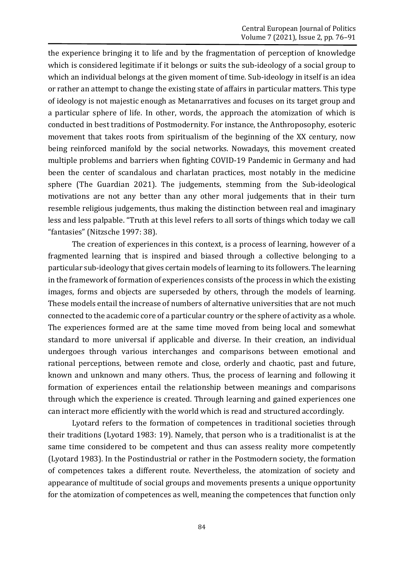the experience bringing it to life and by the fragmentation of perception of knowledge which is considered legitimate if it belongs or suits the sub-ideology of a social group to which an individual belongs at the given moment of time. Sub-ideology in itself is an idea or rather an attempt to change the existing state of affairs in particular matters. This type of ideology is not majestic enough as Metanarratives and focuses on its target group and a particular sphere of life. In other, words, the approach the atomization of which is conducted in best traditions of Postmodernity. For instance, the Anthroposophy, esoteric movement that takes roots from spiritualism of the beginning of the XX century, now being reinforced manifold by the social networks. Nowadays, this movement created multiple problems and barriers when fighting COVID-19 Pandemic in Germany and had been the center of scandalous and charlatan practices, most notably in the medicine sphere (The Guardian 2021). The judgements, stemming from the Sub-ideological motivations are not any better than any other moral judgements that in their turn resemble religious judgements, thus making the distinction between real and imaginary less and less palpable. "Truth at this level refers to all sorts of things which today we call "fantasies" (Nitzsche 1997: 38).

The creation of experiences in this context, is a process of learning, however of a fragmented learning that is inspired and biased through a collective belonging to a particular sub-ideology that gives certain models of learning to its followers. The learning in the framework of formation of experiences consists of the process in which the existing images, forms and objects are superseded by others, through the models of learning. These models entail the increase of numbers of alternative universities that are not much connected to the academic core of a particular country or the sphere of activity as a whole. The experiences formed are at the same time moved from being local and somewhat standard to more universal if applicable and diverse. In their creation, an individual undergoes through various interchanges and comparisons between emotional and rational perceptions, between remote and close, orderly and chaotic, past and future, known and unknown and many others. Thus, the process of learning and following it formation of experiences entail the relationship between meanings and comparisons through which the experience is created. Through learning and gained experiences one can interact more efficiently with the world which is read and structured accordingly.

Lyotard refers to the formation of competences in traditional societies through their traditions (Lyotard 1983: 19). Namely, that person who is a traditionalist is at the same time considered to be competent and thus can assess reality more competently (Lyotard 1983). In the Postindustrial or rather in the Postmodern society, the formation of competences takes a different route. Nevertheless, the atomization of society and appearance of multitude of social groups and movements presents a unique opportunity for the atomization of competences as well, meaning the competences that function only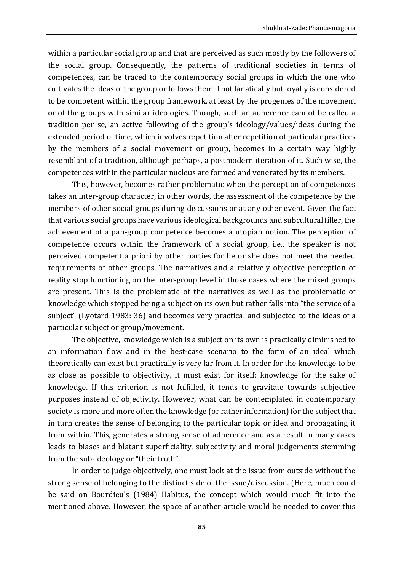within a particular social group and that are perceived as such mostly by the followers of the social group. Consequently, the patterns of traditional societies in terms of competences, can be traced to the contemporary social groups in which the one who cultivates the ideas of the group or follows them if not fanatically but loyally is considered to be competent within the group framework, at least by the progenies of the movement or of the groups with similar ideologies. Though, such an adherence cannot be called a tradition per se, an active following of the group's ideology/values/ideas during the extended period of time, which involves repetition after repetition of particular practices by the members of a social movement or group, becomes in a certain way highly resemblant of a tradition, although perhaps, a postmodern iteration of it. Such wise, the competences within the particular nucleus are formed and venerated by its members.

This, however, becomes rather problematic when the perception of competences takes an inter-group character, in other words, the assessment of the competence by the members of other social groups during discussions or at any other event. Given the fact that various social groups have various ideological backgrounds and subcultural filler, the achievement of a pan-group competence becomes a utopian notion. The perception of competence occurs within the framework of a social group, i.e., the speaker is not perceived competent a priori by other parties for he or she does not meet the needed requirements of other groups. The narratives and a relatively objective perception of reality stop functioning on the inter-group level in those cases where the mixed groups are present. This is the problematic of the narratives as well as the problematic of knowledge which stopped being a subject on its own but rather falls into "the service of a subject" (Lyotard 1983: 36) and becomes very practical and subjected to the ideas of a particular subject or group/movement.

The objective, knowledge which is a subject on its own is practically diminished to an information flow and in the best-case scenario to the form of an ideal which theoretically can exist but practically is very far from it. In order for the knowledge to be as close as possible to objectivity, it must exist for itself: knowledge for the sake of knowledge. If this criterion is not fulfilled, it tends to gravitate towards subjective purposes instead of objectivity. However, what can be contemplated in contemporary society is more and more often the knowledge (or rather information) for the subject that in turn creates the sense of belonging to the particular topic or idea and propagating it from within. This, generates a strong sense of adherence and as a result in many cases leads to biases and blatant superficiality, subjectivity and moral judgements stemming from the sub-ideology or "their truth".

In order to judge objectively, one must look at the issue from outside without the strong sense of belonging to the distinct side of the issue/discussion. (Here, much could be said on Bourdieu's (1984) Habitus, the concept which would much fit into the mentioned above. However, the space of another article would be needed to cover this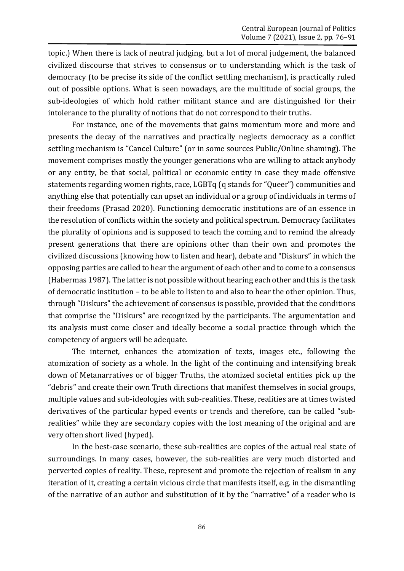topic.) When there is lack of neutral judging, but a lot of moral judgement, the balanced civilized discourse that strives to consensus or to understanding which is the task of democracy (to be precise its side of the conflict settling mechanism), is practically ruled out of possible options. What is seen nowadays, are the multitude of social groups, the sub-ideologies of which hold rather militant stance and are distinguished for their intolerance to the plurality of notions that do not correspond to their truths.

For instance, one of the movements that gains momentum more and more and presents the decay of the narratives and practically neglects democracy as a conflict settling mechanism is "Cancel Culture" (or in some sources Public/Online shaming). The movement comprises mostly the younger generations who are willing to attack anybody or any entity, be that social, political or economic entity in case they made offensive statements regarding women rights, race, LGBTq (q stands for "Queer") communities and anything else that potentially can upset an individual or a group of individuals in terms of their freedoms (Prasad 2020). Functioning democratic institutions are of an essence in the resolution of conflicts within the society and political spectrum. Democracy facilitates the plurality of opinions and is supposed to teach the coming and to remind the already present generations that there are opinions other than their own and promotes the civilized discussions (knowing how to listen and hear), debate and "Diskurs" in which the opposing parties are called to hear the argument of each other and to come to a consensus (Habermas 1987). The latter is not possible without hearing each other and this is the task of democratic institution – to be able to listen to and also to hear the other opinion. Thus, through "Diskurs" the achievement of consensus is possible, provided that the conditions that comprise the "Diskurs" are recognized by the participants. The argumentation and its analysis must come closer and ideally become a social practice through which the competency of arguers will be adequate.

The internet, enhances the atomization of texts, images etc., following the atomization of society as a whole. In the light of the continuing and intensifying break down of Metanarratives or of bigger Truths, the atomized societal entities pick up the "debris" and create their own Truth directions that manifest themselves in social groups, multiple values and sub-ideologies with sub-realities. These, realities are at times twisted derivatives of the particular hyped events or trends and therefore, can be called "subrealities" while they are secondary copies with the lost meaning of the original and are very often short lived (hyped).

In the best-case scenario, these sub-realities are copies of the actual real state of surroundings. In many cases, however, the sub-realities are very much distorted and perverted copies of reality. These, represent and promote the rejection of realism in any iteration of it, creating a certain vicious circle that manifests itself, e.g. in the dismantling of the narrative of an author and substitution of it by the "narrative" of a reader who is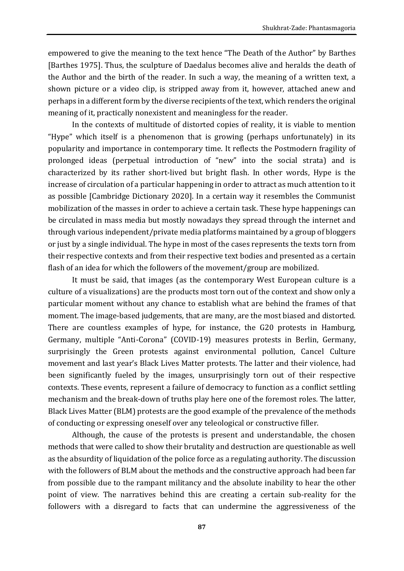empowered to give the meaning to the text hence "The Death of the Author" by Barthes [Barthes 1975]. Thus, the sculpture of Daedalus becomes alive and heralds the death of the Author and the birth of the reader. In such a way, the meaning of a written text, a shown picture or a video clip, is stripped away from it, however, attached anew and perhaps in a different form by the diverse recipients of the text, which renders the original meaning of it, practically nonexistent and meaningless for the reader.

In the contexts of multitude of distorted copies of reality, it is viable to mention "Hype" which itself is a phenomenon that is growing (perhaps unfortunately) in its popularity and importance in contemporary time. It reflects the Postmodern fragility of prolonged ideas (perpetual introduction of "new" into the social strata) and is characterized by its rather short-lived but bright flash. In other words, Hype is the increase of circulation of a particular happening in order to attract as much attention to it as possible [Cambridge Dictionary 2020]. In a certain way it resembles the Communist mobilization of the masses in order to achieve a certain task. These hype happenings can be circulated in mass media but mostly nowadays they spread through the internet and through various independent/private media platforms maintained by a group of bloggers or just by a single individual. The hype in most of the cases represents the texts torn from their respective contexts and from their respective text bodies and presented as a certain flash of an idea for which the followers of the movement/group are mobilized.

It must be said, that images (as the contemporary West European culture is a culture of a visualizations) are the products most torn out of the context and show only a particular moment without any chance to establish what are behind the frames of that moment. The image-based judgements, that are many, are the most biased and distorted. There are countless examples of hype, for instance, the G20 protests in Hamburg, Germany, multiple "Anti-Corona" (COVID-19) measures protests in Berlin, Germany, surprisingly the Green protests against environmental pollution, Cancel Culture movement and last year's Black Lives Matter protests. The latter and their violence, had been significantly fueled by the images, unsurprisingly torn out of their respective contexts. These events, represent a failure of democracy to function as a conflict settling mechanism and the break-down of truths play here one of the foremost roles. The latter, Black Lives Matter (BLM) protests are the good example of the prevalence of the methods of conducting or expressing oneself over any teleological or constructive filler.

Although, the cause of the protests is present and understandable, the chosen methods that were called to show their brutality and destruction are questionable as well as the absurdity of liquidation of the police force as a regulating authority. The discussion with the followers of BLM about the methods and the constructive approach had been far from possible due to the rampant militancy and the absolute inability to hear the other point of view. The narratives behind this are creating a certain sub-reality for the followers with a disregard to facts that can undermine the aggressiveness of the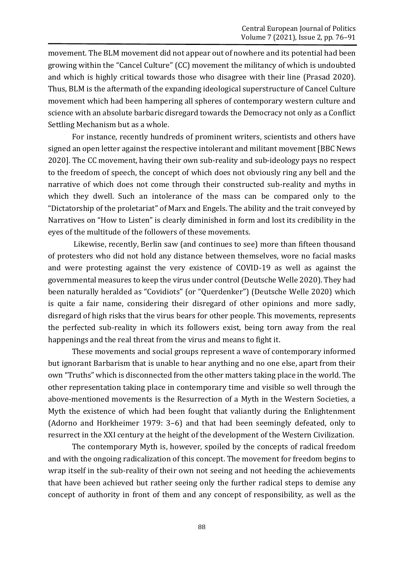movement. The BLM movement did not appear out of nowhere and its potential had been growing within the "Cancel Culture" (CC) movement the militancy of which is undoubted and which is highly critical towards those who disagree with their line (Prasad 2020). Thus, BLM is the aftermath of the expanding ideological superstructure of Cancel Culture movement which had been hampering all spheres of contemporary western culture and science with an absolute barbaric disregard towards the Democracy not only as a Conflict Settling Mechanism but as a whole.

For instance, recently hundreds of prominent writers, scientists and others have signed an open letter against the respective intolerant and militant movement [BBC News 2020]. The CC movement, having their own sub-reality and sub-ideology pays no respect to the freedom of speech, the concept of which does not obviously ring any bell and the narrative of which does not come through their constructed sub-reality and myths in which they dwell. Such an intolerance of the mass can be compared only to the "Dictatorship of the proletariat" of Marx and Engels. The ability and the trait conveyed by Narratives on "How to Listen" is clearly diminished in form and lost its credibility in the eyes of the multitude of the followers of these movements.

Likewise, recently, Berlin saw (and continues to see) more than fifteen thousand of protesters who did not hold any distance between themselves, wore no facial masks and were protesting against the very existence of COVID-19 as well as against the governmental measures to keep the virus under control (Deutsche Welle 2020). They had been naturally heralded as "Covidiots" (or "Querdenker") (Deutsche Welle 2020) which is quite a fair name, considering their disregard of other opinions and more sadly, disregard of high risks that the virus bears for other people. This movements, represents the perfected sub-reality in which its followers exist, being torn away from the real happenings and the real threat from the virus and means to fight it.

These movements and social groups represent a wave of contemporary informed but ignorant Barbarism that is unable to hear anything and no one else, apart from their own "Truths" which is disconnected from the other matters taking place in the world. The other representation taking place in contemporary time and visible so well through the above-mentioned movements is the Resurrection of a Myth in the Western Societies, a Myth the existence of which had been fought that valiantly during the Enlightenment (Adorno and Horkheimer 1979: 3–6) and that had been seemingly defeated, only to resurrect in the XXI century at the height of the development of the Western Civilization.

The contemporary Myth is, however, spoiled by the concepts of radical freedom and with the ongoing radicalization of this concept. The movement for freedom begins to wrap itself in the sub-reality of their own not seeing and not heeding the achievements that have been achieved but rather seeing only the further radical steps to demise any concept of authority in front of them and any concept of responsibility, as well as the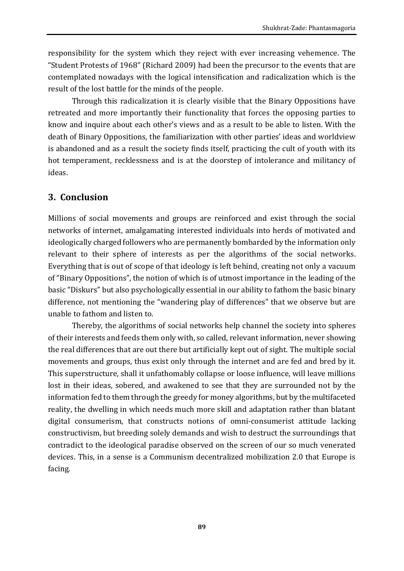responsibility for the system which they reject with ever increasing vehemence. The "Student Protests of 1968" (Richard 2009) had been the precursor to the events that are contemplated nowadays with the logical intensification and radicalization which is the result of the lost battle for the minds of the people.

Through this radicalization it is clearly visible that the Binary Oppositions have retreated and more importantly their functionality that forces the opposing parties to know and inquire about each other's views and as a result to be able to listen. With the death of Binary Oppositions, the familiarization with other parties' ideas and worldview is abandoned and as a result the society finds itself, practicing the cult of youth with its hot temperament, recklessness and is at the doorstep of intolerance and militancy of ideas.

### **3. Conclusion**

Millions of social movements and groups are reinforced and exist through the social networks of internet, amalgamating interested individuals into herds of motivated and ideologically charged followers who are permanently bombarded by the information only relevant to their sphere of interests as per the algorithms of the social networks. Everything that is out of scope of that ideology is left behind, creating not only a vacuum of "Binary Oppositions", the notion of which is of utmost importance in the leading of the basic "Diskurs" but also psychologically essential in our ability to fathom the basic binary difference, not mentioning the "wandering play of differences" that we observe but are unable to fathom and listen to.

Thereby, the algorithms of social networks help channel the society into spheres of their interests and feeds them only with, so called, relevant information, never showing the real differences that are out there but artificially kept out of sight. The multiple social movements and groups, thus exist only through the internet and are fed and bred by it. This superstructure, shall it unfathomably collapse or loose influence, will leave millions lost in their ideas, sobered, and awakened to see that they are surrounded not by the information fed to them through the greedy for money algorithms, but by the multifaceted reality, the dwelling in which needs much more skill and adaptation rather than blatant digital consumerism, that constructs notions of omni-consumerist attitude lacking constructivism, but breeding solely demands and wish to destruct the surroundings that contradict to the ideological paradise observed on the screen of our so much venerated devices. This, in a sense is a Communism decentralized mobilization 2.0 that Europe is facing.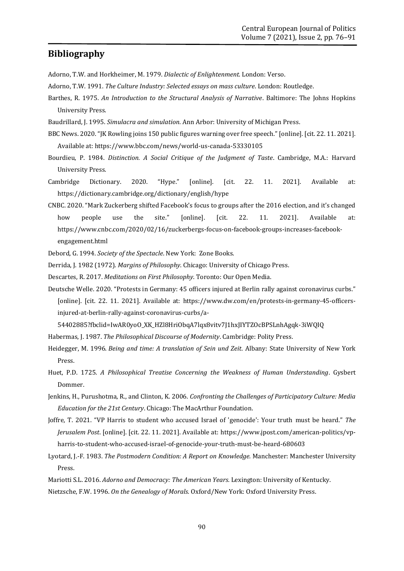#### **Bibliography**

Adorno, T.W. and Horkheimer, M. 1979. *Dialectic of Enlightenment.* London: Verso.

- Adorno, T.W. 1991. *The Culture Industry: Selected essays on mass culture*. London: Routledge.
- Barthes, R. 1975. *An Introduction to the Structural Analysis of Narrative*. Baltimore: The Johns Hopkins University Press.
- Baudrillard, J. 1995. *Simulacra and simulation*. Ann Arbor: University of Michigan Press.
- BBC News. 2020. "JK Rowling joins 150 public figures warning over free speech." [online]. [cit. 22. 11. 2021]. Available at:<https://www.bbc.com/news/world-us-canada-53330105>
- Bourdieu, P. 1984. *Distinction. A Social Critique of the Judgment of Taste*. Cambridge, M.A.: Harvard University Press.
- Cambridge Dictionary. 2020. "Hype." [online]. [cit. 22. 11. 2021]. Available at: <https://dictionary.cambridge.org/dictionary/english/hype>
- CNBC. 2020. "Mark Zuckerberg shifted Facebook's focus to groups after the 2016 election, and it's changed how people use the site." [online]. [cit. 22. 11. 2021]. Available at: [https://www.cnbc.com/2020/02/16/zuckerbergs-focus-on-facebook-groups-increases-facebook](https://www.cnbc.com/2020/02/16/zuckerbergs-focus-on-facebook-groups-increases-facebook-engagement.html)[engagement.html](https://www.cnbc.com/2020/02/16/zuckerbergs-focus-on-facebook-groups-increases-facebook-engagement.html)
- Debord, G. 1994. *Society of the Spectacle*. New York: Zone Books.
- Derrida, J. 1982 (1972). *Margins of Philosophy*. Chicago: University of Chicago Press.
- Descartes, R. 2017. *Meditations on First Philosophy*. Toronto: Our Open Media.
- Deutsche Welle. 2020. "Protests in Germany: 45 officers injured at Berlin rally against coronavirus curbs." [online]. [cit. 22. 11. 2021]. Available at: [https://www.dw.com/en/protests-in-germany-45-officers](https://www.dw.com/en/protests-in-germany-45-officers-injured-at-berlin-rally-against-coronavirus-curbs/a-54402885?fbclid=IwAR0yoO_XK_HZl8HriObqA7lqx8vitv7J1hxJIYTZOcBPSLnhAgqk-3iWQIQ)[injured-at-berlin-rally-against-coronavirus-curbs/a-](https://www.dw.com/en/protests-in-germany-45-officers-injured-at-berlin-rally-against-coronavirus-curbs/a-54402885?fbclid=IwAR0yoO_XK_HZl8HriObqA7lqx8vitv7J1hxJIYTZOcBPSLnhAgqk-3iWQIQ)

[54402885?fbclid=IwAR0yoO\\_XK\\_HZl8HriObqA7lqx8vitv7J1hxJIYTZOcBPSLnhAgqk-3iWQIQ](https://www.dw.com/en/protests-in-germany-45-officers-injured-at-berlin-rally-against-coronavirus-curbs/a-54402885?fbclid=IwAR0yoO_XK_HZl8HriObqA7lqx8vitv7J1hxJIYTZOcBPSLnhAgqk-3iWQIQ)

- Habermas, J. 1987. *The Philosophical Discourse of Modernity*. Cambridge: Polity Press.
- Heidegger, M. 1996. *Being and time: A translation of Sein und Zeit*. Albany: State University of New York Press.
- Huet, P.D. 1725. *A Philosophical Treatise Concerning the Weakness of Human Understanding*. Gysbert Dommer.
- Jenkins, H., Purushotma, R., and Clinton, K. 2006. *Confronting the Challenges of Participatory Culture: Media Education for the 21st Century*. Chicago: The MacArthur Foundation.
- Joffre, T. 2021. "VP Harris to student who accused Israel of 'genocide': Your truth must be heard." *The Jerusalem Post*. [online]. [cit. 22. 11. 2021]. Available at: [https://www.jpost.com/american-politics/vp](https://www.jpost.com/american-politics/vp-harris-to-student-who-accused-israel-of-genocide-your-truth-must-be-heard-680603)[harris-to-student-who-accused-israel-of-genocide-your-truth-must-be-heard-680603](https://www.jpost.com/american-politics/vp-harris-to-student-who-accused-israel-of-genocide-your-truth-must-be-heard-680603)
- Lyotard, J.-F. 1983. *The Postmodern Condition: A Report on Knowledge.* Manchester: Manchester University Press.
- Mariotti S.L. 2016. *Adorno and Democracy: The American Years.* Lexington: University of Kentucky.
- Nietzsche, F.W. 1996. *On the Genealogy of Morals.* Oxford/New York: Oxford University Press.